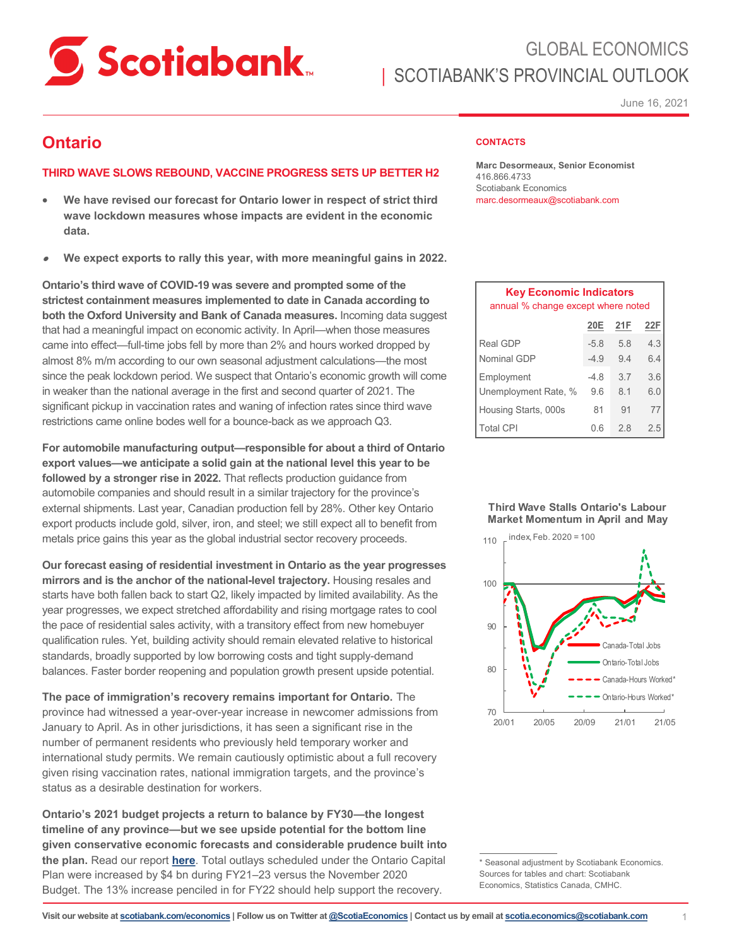

# GLOBAL ECONOMICS SCOTIABANK'S PROVINCIAL OUTLOOK

June 16, 2021

### **Ontario**

### **THIRD WAVE SLOWS REBOUND, VACCINE PROGRESS SETS UP BETTER H2**

- **We have revised our forecast for Ontario lower in respect of strict third wave lockdown measures whose impacts are evident in the economic data.**
- **We expect exports to rally this year, with more meaningful gains in 2022.**

**Ontario's third wave of COVID-19 was severe and prompted some of the strictest containment measures implemented to date in Canada according to both the Oxford University and Bank of Canada measures.** Incoming data suggest that had a meaningful impact on economic activity. In April—when those measures came into effect—full-time jobs fell by more than 2% and hours worked dropped by almost 8% m/m according to our own seasonal adjustment calculations—the most since the peak lockdown period. We suspect that Ontario's economic growth will come in weaker than the national average in the first and second quarter of 2021. The significant pickup in vaccination rates and waning of infection rates since third wave restrictions came online bodes well for a bounce-back as we approach Q3.

**For automobile manufacturing output—responsible for about a third of Ontario export values—we anticipate a solid gain at the national level this year to be followed by a stronger rise in 2022.** That reflects production guidance from automobile companies and should result in a similar trajectory for the province's external shipments. Last year, Canadian production fell by 28%. Other key Ontario export products include gold, silver, iron, and steel; we still expect all to benefit from metals price gains this year as the global industrial sector recovery proceeds.

**Our forecast easing of residential investment in Ontario as the year progresses mirrors and is the anchor of the national-level trajectory.** Housing resales and starts have both fallen back to start Q2, likely impacted by limited availability. As the year progresses, we expect stretched affordability and rising mortgage rates to cool the pace of residential sales activity, with a transitory effect from new homebuyer qualification rules. Yet, building activity should remain elevated relative to historical standards, broadly supported by low borrowing costs and tight supply-demand balances. Faster border reopening and population growth present upside potential.

**The pace of immigration's recovery remains important for Ontario.** The province had witnessed a year-over-year increase in newcomer admissions from January to April. As in other jurisdictions, it has seen a significant rise in the number of permanent residents who previously held temporary worker and international study permits. We remain cautiously optimistic about a full recovery given rising vaccination rates, national immigration targets, and the province's status as a desirable destination for workers.

**Ontario's 2021 budget projects a return to balance by FY30—the longest timeline of any province—but we see upside potential for the bottom line given conservative economic forecasts and considerable prudence built into the plan.** Read our report **[here](https://www.scotiabank.com/ca/en/about/economics/economics-publications/post.other-publications.fiscal-policy.fiscal-pulse.provincial-budget-analyses-and-updates.ontario.ontario--2021-22-budget--march-24--2021-.html)**. Total outlays scheduled under the Ontario Capital Plan were increased by \$4 bn during FY21–23 versus the November 2020 Budget. The 13% increase penciled in for FY22 should help support the recovery.

#### **CONTACTS**

**Marc Desormeaux, Senior Economist** 416.866.4733 Scotiabank Economics marc.desormeaux@scotiabank.com

| <b>Key Economic Indicators</b><br>annual % change except where noted          |                  |            |            |  |  |  |  |  |  |  |
|-------------------------------------------------------------------------------|------------------|------------|------------|--|--|--|--|--|--|--|
|                                                                               | 20E              | 21F        | 22F        |  |  |  |  |  |  |  |
| Real GDP<br>Nominal GDP                                                       | $-5.8$<br>$-4.9$ | 5.8<br>9.4 | 4.3<br>6.4 |  |  |  |  |  |  |  |
| Employment<br>Unemployment Rate, %                                            | -4.8<br>9.6      | 3.7<br>8.1 | 3.6<br>6.0 |  |  |  |  |  |  |  |
| Housing Starts, 000s                                                          | 81               | 91         | 77         |  |  |  |  |  |  |  |
| <b>Total CPI</b>                                                              | 0.6              | 2.8        | 2.5        |  |  |  |  |  |  |  |
|                                                                               |                  |            |            |  |  |  |  |  |  |  |
|                                                                               |                  |            |            |  |  |  |  |  |  |  |
| <b>Third Wave Stalls Ontario's Labour</b><br>Market Momentum in April and May |                  |            |            |  |  |  |  |  |  |  |





\* Seasonal adjustment by Scotiabank Economics. Sources for tables and chart: Scotiabank Economics, Statistics Canada, CMHC.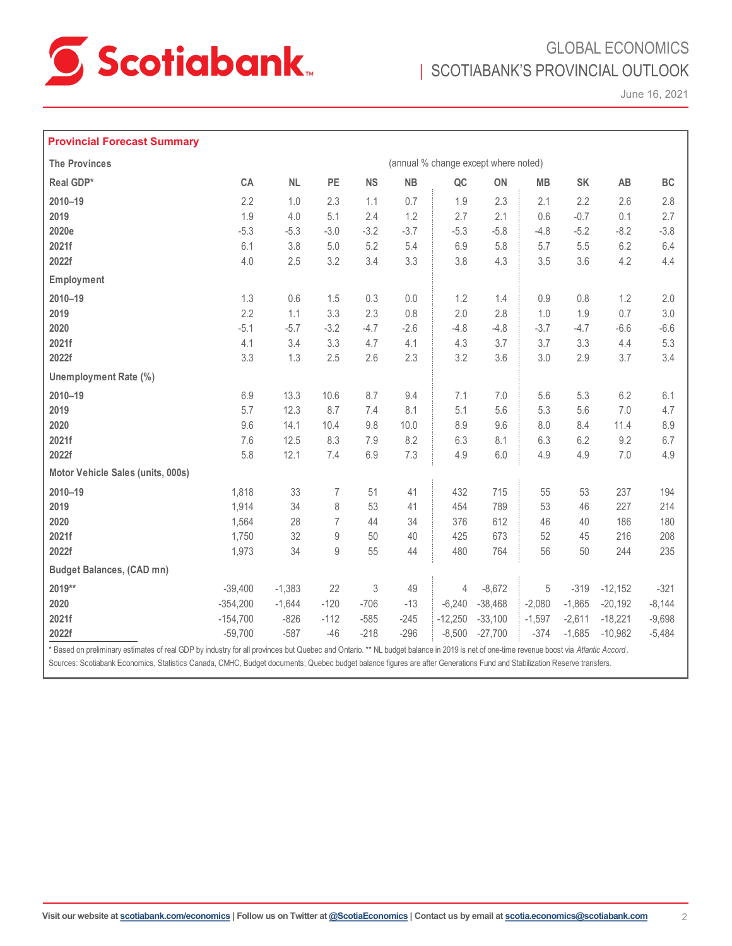

## GLOBAL ECONOMICS | SCOTIABANK'S PROVINCIAL OUTLOOK

June 16, 2021

#### **Provincial Forecast Summary**

| <b>The Provinces</b>              | (annual % change except where noted) |           |                  |           |           |           |           |          |          |           |          |
|-----------------------------------|--------------------------------------|-----------|------------------|-----------|-----------|-----------|-----------|----------|----------|-----------|----------|
| Real GDP*                         | CA                                   | <b>NL</b> | PE               | <b>NS</b> | <b>NB</b> | $\sf QC$  | ON        | MB       | SK       | AB        | BC       |
| 2010-19                           | 2.2                                  | 1.0       | 2.3              | 1.1       | 0.7       | 1.9       | 2.3       | 2.1      | 2.2      | 2.6       | 2.8      |
| 2019                              | 1.9                                  | 4.0       | 5.1              | 2.4       | 1.2       | 2.7       | 2.1       | 0.6      | $-0.7$   | 0.1       | 2.7      |
| 2020e                             | $-5.3$                               | $-5.3$    | $-3.0$           | $-3.2$    | $-3.7$    | $-5.3$    | $-5.8$    | $-4.8$   | $-5.2$   | $-8.2$    | $-3.8$   |
| 2021f                             | 6.1                                  | 3.8       | 5.0              | 5.2       | 5.4       | 6.9       | 5.8       | 5.7      | 5.5      | 6.2       | 6.4      |
| 2022f                             | 4.0                                  | 2.5       | 3.2              | 3.4       | 3.3       | 3.8       | 4.3       | 3.5      | 3.6      | 4.2       | 4.4      |
| Employment                        |                                      |           |                  |           |           |           |           |          |          |           |          |
| $2010 - 19$                       | 1.3                                  | 0.6       | 1.5              | 0.3       | 0.0       | 1.2       | 1.4       | 0.9      | 0.8      | 1.2       | 2.0      |
| 2019                              | 2.2                                  | 1.1       | 3.3              | 2.3       | 0.8       | 2.0       | 2.8       | 1.0      | 1.9      | 0.7       | 3.0      |
| 2020                              | $-5.1$                               | $-5.7$    | $-3.2$           | $-4.7$    | $-2.6$    | $-4.8$    | $-4.8$    | $-3.7$   | $-4.7$   | $-6.6$    | $-6.6$   |
| 2021f                             | 4.1                                  | 3.4       | 3.3              | 4.7       | 4.1       | 4.3       | 3.7       | 3.7      | 3.3      | 4.4       | 5.3      |
| 2022f                             | 3.3                                  | 1.3       | 2.5              | 2.6       | 2.3       | 3.2       | 3.6       | 3.0      | 2.9      | 3.7       | 3.4      |
| Unemployment Rate (%)             |                                      |           |                  |           |           |           |           |          |          |           |          |
| $2010 - 19$                       | 6.9                                  | 13.3      | 10.6             | 8.7       | 9.4       | 7.1       | 7.0       | 5.6      | 5.3      | 6.2       | 6.1      |
| 2019                              | 5.7                                  | 12.3      | 8.7              | 7.4       | 8.1       | 5.1       | 5.6       | 5.3      | 5.6      | $7.0$     | 4.7      |
| 2020                              | 9.6                                  | 14.1      | 10.4             | 9.8       | 10.0      | 8.9       | 9.6       | 8.0      | 8.4      | 11.4      | 8.9      |
| 2021f                             | 7.6                                  | 12.5      | 8.3              | 7.9       | 8.2       | 6.3       | 8.1       | 6.3      | 6.2      | 9.2       | 6.7      |
| 2022f                             | 5.8                                  | 12.1      | 7.4              | 6.9       | 7.3       | 4.9       | 6.0       | 4.9      | 4.9      | 7.0       | 4.9      |
| Motor Vehicle Sales (units, 000s) |                                      |           |                  |           |           |           |           |          |          |           |          |
| 2010-19                           | 1,818                                | 33        | 7                | 51        | 41        | 432       | 715       | 55       | 53       | 237       | 194      |
| 2019                              | 1,914                                | 34        | 8                | 53        | 41        | 454       | 789       | 53       | 46       | 227       | 214      |
| 2020                              | 1,564                                | 28        | $\overline{7}$   | 44        | 34        | 376       | 612       | 46       | 40       | 186       | 180      |
| 2021f                             | 1,750                                | 32        | 9                | 50        | 40        | 425       | 673       | 52       | 45       | 216       | 208      |
| 2022f                             | 1,973                                | 34        | $\boldsymbol{9}$ | 55        | 44        | 480       | 764       | 56       | 50       | 244       | 235      |
| <b>Budget Balances, (CAD mn)</b>  |                                      |           |                  |           |           |           |           |          |          |           |          |
| 2019**                            | $-39,400$                            | $-1,383$  | 22               | 3         | 49        | 4         | $-8,672$  | 5        | $-319$   | $-12,152$ | $-321$   |
| 2020                              | $-354,200$                           | $-1,644$  | $-120$           | $-706$    | $-13$     | $-6,240$  | $-38,468$ | $-2,080$ | $-1,865$ | $-20,192$ | $-8,144$ |
| 2021f                             | $-154,700$                           | $-826$    | $-112$           | $-585$    | $-245$    | $-12,250$ | $-33,100$ | $-1,597$ | $-2,611$ | $-18,221$ | $-9,698$ |
| 2022f                             | $-59,700$                            | $-587$    | $-46$            | $-218$    | $-296$    | $-8,500$  | $-27,700$ | $-374$   | $-1,685$ | $-10,982$ | $-5,484$ |

\* Based on preliminary estimates of real GDP by industry for all provinces but Quebec and Ontario. \*\* NL budget balance in 2019 is net of one-time revenue boost via *Atlantic Accord*. Sources: Scotiabank Economics, Statistics Canada, CMHC, Budget documents; Quebec budget balance figures are after Generations Fund and Stabilization Reserve transfers.